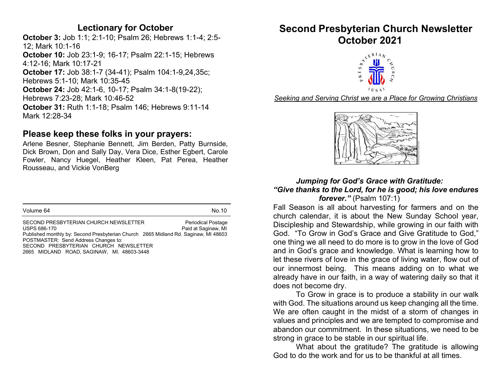#### Lectionary for October

October 3: Job 1:1; 2:1-10; Psalm 26; Hebrews 1:1-4; 2:5- 12; Mark 10:1-16 October 10: Job 23:1-9; 16-17; Psalm 22:1-15; Hebrews 4:12-16; Mark 10:17-21 October 17: Job 38:1-7 (34-41); Psalm 104:1-9,24,35c; Hebrews 5:1-10; Mark 10:35-45 October 24: Job 42:1-6, 10-17; Psalm 34:1-8(19-22); Hebrews 7:23-28; Mark 10:46-52 October 31: Ruth 1:1-18; Psalm 146; Hebrews 9:11-14 Mark 12:28-34

#### Please keep these folks in your prayers:

Arlene Besner, Stephanie Bennett, Jim Berden, Patty Burnside, Dick Brown, Don and Sally Day, Vera Dice, Esther Egbert, Carole Fowler, Nancy Huegel, Heather Kleen, Pat Perea, Heather Rousseau, and Vickie VonBerg

| Volume 64 | Ν٨ |
|-----------|----|
|           |    |

SECOND PRESBYTERIAN CHURCH NEWSLETTER Periodical Postage USPS 686-170 **Paid at Saginaw, MI** Published monthly by: Second Presbyterian Church 2665 Midland Rd. Saginaw, MI 48603 POSTMASTER: Send Address Changes to: SECOND PRESBYTERIAN CHURCH NEWSLETTER 2665 MIDLAND ROAD, SAGINAW, MI. 48603-3448

#### Second Presbyterian Church Newsletter October 2021



Seeking and Serving Christ we are a Place for Growing Christians



#### Jumping for God's Grace with Gratitude: "Give thanks to the Lord, for he is good; his love endures forever." (Psalm 107:1)

Fall Season is all about harvesting for farmers and on the church calendar, it is about the New Sunday School year, Discipleship and Stewardship, while growing in our faith with God. "To Grow in God's Grace and Give Gratitude to God," one thing we all need to do more is to grow in the love of God and in God's grace and knowledge. What is learning how to let these rivers of love in the grace of living water, flow out of our innermost being. This means adding on to what we already have in our faith, in a way of watering daily so that it does not become dry.

 To Grow in grace is to produce a stability in our walk with God. The situations around us keep changing all the time. We are often caught in the midst of a storm of changes in values and principles and we are tempted to compromise and abandon our commitment. In these situations, we need to be strong in grace to be stable in our spiritual life.

 What about the gratitude? The gratitude is allowing God to do the work and for us to be thankful at all times.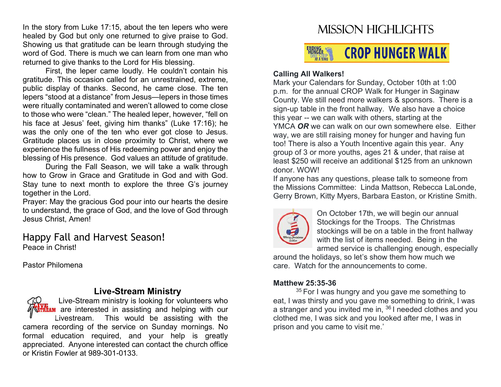In the story from Luke 17:15, about the ten lepers who were healed by God but only one returned to give praise to God. Showing us that gratitude can be learn through studying the word of God. There is much we can learn from one man who returned to give thanks to the Lord for His blessing.

 First, the leper came loudly. He couldn't contain his gratitude. This occasion called for an unrestrained, extreme, public display of thanks. Second, he came close. The ten lepers "stood at a distance" from Jesus—lepers in those times were ritually contaminated and weren't allowed to come close to those who were "clean." The healed leper, however, "fell on his face at Jesus' feet, giving him thanks" (Luke 17:16); he was the only one of the ten who ever got close to Jesus. Gratitude places us in close proximity to Christ, where we experience the fullness of His redeeming power and enjoy the blessing of His presence. God values an attitude of gratitude.

 During the Fall Season, we will take a walk through how to Grow in Grace and Gratitude in God and with God. Stay tune to next month to explore the three G's journey together in the Lord.

Prayer: May the gracious God pour into our hearts the desire to understand, the grace of God, and the love of God through Jesus Christ, Amen!

Happy Fall and Harvest Season! Peace in Christ!

Pastor Philomena

#### Live-Stream Ministry

Live-Stream ministry is looking for volunteers who **AM** are interested in assisting and helping with our Livestream. This would be assisting with the camera recording of the service on Sunday mornings. No formal education required, and your help is greatly appreciated. Anyone interested can contact the church office or Kristin Fowler at 989-301-0133.

### Mission highlights

#### **ENDING**<br>HUNGER **CROP HUNGER WALK**

#### Calling All Walkers!

Mark your Calendars for Sunday, October 10th at 1:00 p.m. for the annual CROP Walk for Hunger in Saginaw County. We still need more walkers & sponsors. There is a sign-up table in the front hallway. We also have a choice this year -- we can walk with others, starting at the YMCA OR we can walk on our own somewhere else. Either way, we are still raising money for hunger and having fun too! There is also a Youth Incentive again this year. Any group of 3 or more youths, ages 21 & under, that raise at least \$250 will receive an additional \$125 from an unknown donor. WOW!

If anyone has any questions, please talk to someone from the Missions Committee: Linda Mattson, Rebecca LaLonde, Gerry Brown, Kitty Myers, Barbara Easton, or Kristine Smith.



On October 17th, we will begin our annual Stockings for the Troops. The Christmas stockings will be on a table in the front hallway with the list of items needed. Being in the armed service is challenging enough, especially

around the holidays, so let's show them how much we care. Watch for the announcements to come.

#### Matthew 25:35-36

<sup>35</sup> For I was hungry and you gave me something to eat, I was thirsty and you gave me something to drink, I was a stranger and you invited me in,  $36$  I needed clothes and you clothed me, I was sick and you looked after me, I was in prison and you came to visit me.'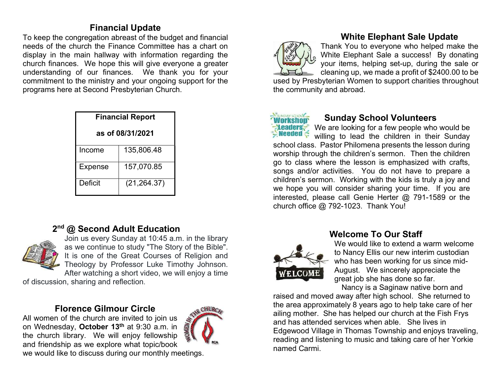#### Financial Update

To keep the congregation abreast of the budget and financial needs of the church the Finance Committee has a chart on display in the main hallway with information regarding the church finances. We hope this will give everyone a greater understanding of our finances. We thank you for your commitment to the ministry and your ongoing support for the programs here at Second Presbyterian Church.

| <b>Financial Report</b> |              |  |  |  |  |
|-------------------------|--------------|--|--|--|--|
| as of 08/31/2021        |              |  |  |  |  |
| Income                  | 135,806.48   |  |  |  |  |
| <b>Expense</b>          | 157,070.85   |  |  |  |  |
| Deficit                 | (21, 264.37) |  |  |  |  |

#### 2<sup>nd</sup> @ Second Adult Education



Join us every Sunday at 10:45 a.m. in the library as we continue to study "The Story of the Bible". It is one of the Great Courses of Religion and Theology by Professor Luke Timothy Johnson. After watching a short video, we will enjoy a time

of discussion, sharing and reflection.

#### Florence Gilmour Circle

All women of the church are invited to join us on Wednesday, October 13<sup>th</sup> at 9:30 a.m. in the church library. We will enjoy fellowship and friendship as we explore what topic/book



we would like to discuss during our monthly meetings.



#### White Elephant Sale Update

Thank You to everyone who helped make the White Elephant Sale a success! By donating your items, helping set-up, during the sale or cleaning up, we made a profit of \$2400.00 to be

used by Presbyterian Women to support charities throughout the community and abroad.



#### Sunday School Volunteers

We are looking for a few people who would be willing to lead the children in their Sunday school class. Pastor Philomena presents the lesson during worship through the children's sermon. Then the children go to class where the lesson is emphasized with crafts, songs and/or activities. You do not have to prepare a children's sermon. Working with the kids is truly a joy and we hope you will consider sharing your time. If you are interested, please call Genie Herter @ 791-1589 or the church office @ 792-1023. Thank You! Ī



#### Welcome To Our Staff

We would like to extend a warm welcome to Nancy Ellis our new interim custodian who has been working for us since mid-August. We sincerely appreciate the great job she has done so far.

Nancy is a Saginaw native born and

raised and moved away after high school. She returned to the area approximately 8 years ago to help take care of her ailing mother. She has helped our church at the Fish Frys and has attended services when able. She lives in Edgewood Village in Thomas Township and enjoys traveling, reading and listening to music and taking care of her Yorkie named Carmi.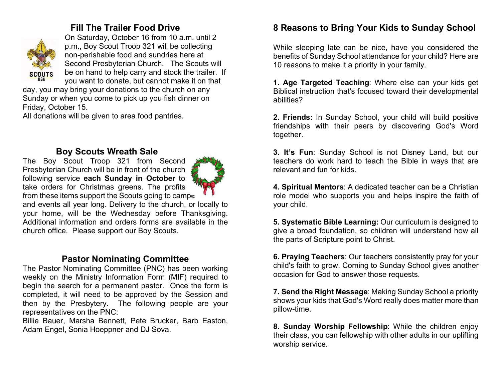#### Fill The Trailer Food Drive



On Saturday, October 16 from 10 a.m. until 2 p.m., Boy Scout Troop 321 will be collecting non-perishable food and sundries here at Second Presbyterian Church. The Scouts will be on hand to help carry and stock the trailer. If you want to donate, but cannot make it on that

day, you may bring your donations to the church on any Sunday or when you come to pick up you fish dinner on Friday, October 15.

All donations will be given to area food pantries.

#### Boy Scouts Wreath Sale

The Boy Scout Troop 321 from Second Presbyterian Church will be in front of the church following service each Sunday in October to take orders for Christmas greens. The profits from these items support the Scouts going to camps



and events all year long. Delivery to the church, or locally to your home, will be the Wednesday before Thanksgiving. Additional information and orders forms are available in the church office. Please support our Boy Scouts.

#### Pastor Nominating Committee

The Pastor Nominating Committee (PNC) has been working weekly on the Ministry Information Form (MIF) required to begin the search for a permanent pastor. Once the form is completed, it will need to be approved by the Session and then by the Presbytery. The following people are your representatives on the PNC:

Billie Bauer, Marsha Bennett, Pete Brucker, Barb Easton, Adam Engel, Sonia Hoeppner and DJ Sova.

#### 8 Reasons to Bring Your Kids to Sunday School

While sleeping late can be nice, have you considered the benefits of Sunday School attendance for your child? Here are 10 reasons to make it a priority in your family.

1. Age Targeted Teaching: Where else can your kids get Biblical instruction that's focused toward their developmental abilities?

2. Friends: In Sunday School, your child will build positive friendships with their peers by discovering God's Word together.

3. It's Fun: Sunday School is not Disney Land, but our teachers do work hard to teach the Bible in ways that are relevant and fun for kids.

4. Spiritual Mentors: A dedicated teacher can be a Christian role model who supports you and helps inspire the faith of your child.

5. Systematic Bible Learning: Our curriculum is designed to give a broad foundation, so children will understand how all the parts of Scripture point to Christ.

6. Praying Teachers: Our teachers consistently pray for your child's faith to grow. Coming to Sunday School gives another occasion for God to answer those requests.

7. Send the Right Message: Making Sunday School a priority shows your kids that God's Word really does matter more than pillow-time.

8. Sunday Worship Fellowship: While the children enjoy their class, you can fellowship with other adults in our uplifting worship service.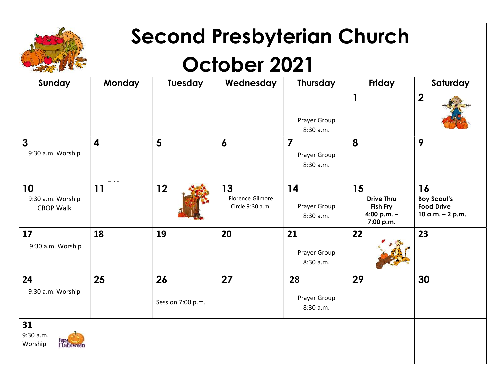

## Second Presbyterian Church

## October 2021

| Sunday                                         | <b>Monday</b>           | Tuesday                 | Wednesday                                  | <b>Thursday</b>                             | Friday                                                            | Saturday                                                          |
|------------------------------------------------|-------------------------|-------------------------|--------------------------------------------|---------------------------------------------|-------------------------------------------------------------------|-------------------------------------------------------------------|
|                                                |                         |                         |                                            | Prayer Group<br>8:30 a.m.                   | $\mathbf{1}$                                                      | $\overline{\mathbf{2}}$                                           |
| $\overline{3}$<br>9:30 a.m. Worship            | $\overline{\mathbf{4}}$ | 5                       | $\boldsymbol{6}$                           | $\overline{7}$<br>Prayer Group<br>8:30 a.m. | 8                                                                 | 9                                                                 |
| 10<br>9:30 a.m. Worship<br><b>CROP Walk</b>    | 11                      | 12                      | 13<br>Florence Gilmore<br>Circle 9:30 a.m. | 14<br>Prayer Group<br>8:30 a.m.             | 15<br><b>Drive Thru</b><br>Fish Fry<br>4:00 p.m. $-$<br>7:00 p.m. | 16<br><b>Boy Scout's</b><br><b>Food Drive</b><br>10 a.m. - 2 p.m. |
| 17<br>9:30 a.m. Worship                        | 18                      | 19                      | 20                                         | 21<br>Prayer Group<br>8:30 a.m.             | 22                                                                | 23                                                                |
| 24<br>9:30 a.m. Worship                        | 25                      | 26<br>Session 7:00 p.m. | 27                                         | 28<br>Prayer Group<br>8:30 a.m.             | 29                                                                | 30                                                                |
| 31<br>9:30 a.m.<br><b>Halloween</b><br>Worship |                         |                         |                                            |                                             |                                                                   |                                                                   |